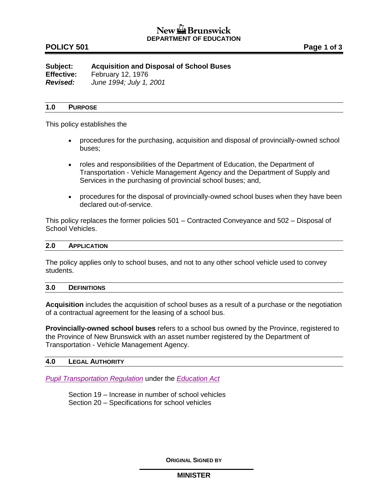# **POLICY 501 Page 1 of 3**

**Subject: Acquisition and Disposal of School Buses Effective:** February 12, 1976 *Revised: June 1994; July 1, 2001*

### **1.0 PURPOSE**

This policy establishes the

- procedures for the purchasing, acquisition and disposal of provincially-owned school buses;
- roles and responsibilities of the Department of Education, the Department of Transportation - Vehicle Management Agency and the Department of Supply and Services in the purchasing of provincial school buses; and,
- procedures for the disposal of provincially-owned school buses when they have been declared out-of-service.

This policy replaces the former policies 501 – Contracted Conveyance and 502 – Disposal of School Vehicles.

#### **2.0 APPLICATION**

The policy applies only to school buses, and not to any other school vehicle used to convey students.

### **3.0 DEFINITIONS**

**Acquisition** includes the acquisition of school buses as a result of a purchase or the negotiation of a contractual agreement for the leasing of a school bus.

**Provincially-owned school buses** refers to a school bus owned by the Province, registered to the Province of New Brunswick with an asset number registered by the Department of Transportation - Vehicle Management Agency.

#### **4.0 LEGAL AUTHORITY**

*[Pupil Transportation Regulation](http://laws.gnb.ca/en/ShowPdf/cr/2001-51.pdf)* under the *[Education Act](http://laws.gnb.ca/en/ShowPdf/cs/E-1.12.pdf)* 

Section 19 – Increase in number of school vehicles Section 20 – Specifications for school vehicles

**ORIGINAL SIGNED BY**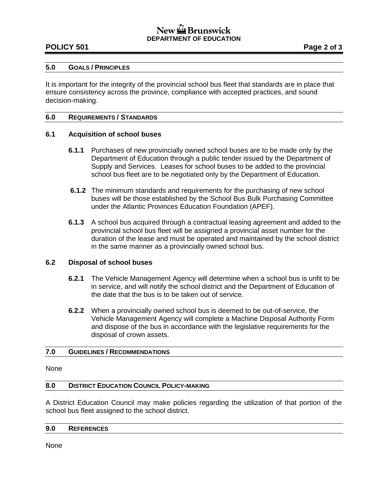# **POLICY 501 Page 2 of 3**

### **5.0 GOALS / PRINCIPLES**

It is important for the integrity of the provincial school bus fleet that standards are in place that ensure consistency across the province, compliance with accepted practices, and sound decision-making.

### **6.0 REQUIREMENTS / STANDARDS**

## **6.1 Acquisition of school buses**

- **6.1.1** Purchases of new provincially owned school buses are to be made only by the Department of Education through a public tender issued by the Department of Supply and Services. Leases for school buses to be added to the provincial school bus fleet are to be negotiated only by the Department of Education.
- **6.1.2** The minimum standards and requirements for the purchasing of new school buses will be those established by the School Bus Bulk Purchasing Committee under the Atlantic Provinces Education Foundation (APEF).
- **6.1.3** A school bus acquired through a contractual leasing agreement and added to the provincial school bus fleet will be assigned a provincial asset number for the duration of the lease and must be operated and maintained by the school district in the same manner as a provincially owned school bus.

### **6.2 Disposal of school buses**

- **6.2.1** The Vehicle Management Agency will determine when a school bus is unfit to be in service, and will notify the school district and the Department of Education of the date that the bus is to be taken out of service.
- **6.2.2** When a provincially owned school bus is deemed to be out-of-service, the Vehicle Management Agency will complete a Machine Disposal Authority Form and dispose of the bus in accordance with the legislative requirements for the disposal of crown assets.

### **7.0 GUIDELINES / RECOMMENDATIONS**

#### None

### **8.0 DISTRICT EDUCATION COUNCIL POLICY-MAKING**

A District Education Council may make policies regarding the utilization of that portion of the school bus fleet assigned to the school district.

### **9.0 REFERENCES**

None